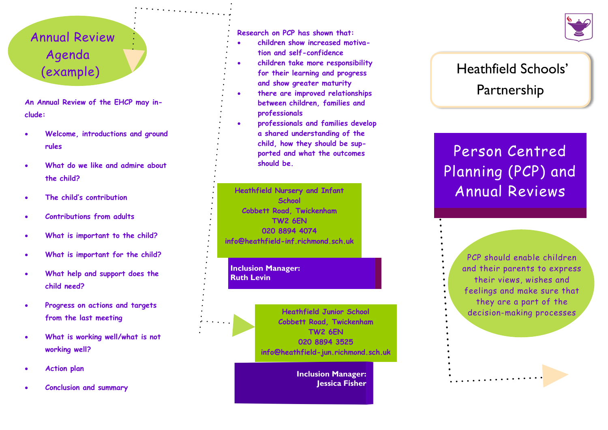## Annual Review Agenda (example)

**An Annual Review of the EHCP may include:**

- **Welcome, introductions and ground rules**
- **What do we like and admire about the child?**
- **The child's contribution**
- **Contributions from adults**
- **What is important to the child?**
- **What is important for the child?**
- **What help and support does the child need?**
- **Progress on actions and targets from the last meeting**
- **What is working well/what is not working well?**
- **Action plan**
- **Conclusion and summary**

**Research on PCP has shown that:**

- **children show increased motivation and self-confidence**
- **children take more responsibility for their learning and progress and show greater maturity**
- **there are improved relationships between children, families and professionals**
- **professionals and families develop a shared understanding of the child, how they should be supported and what the outcomes should be.**

**Heathfield Nursery and Infant School Cobbett Road, Twickenham TW2 6EN 020 8894 4074 info@heathfield -inf.richmond.sch.uk**

**Inclusion Manager: Ruth Levin**

> **Heathfield Junior School Cobbett Road, Twickenham TW2 6EN 020 8894 3525 info@heathfield -jun.richmond.sch.uk**

> > **Inclusion Manager: Jessica Fisher**

## Heathfield Schools' Partnership

## Person Centred Planning (PCP) and Annual Reviews

PCP should enable children and their parents to express their views, wishes and feelings and make sure that they are a part of the decision -making processes